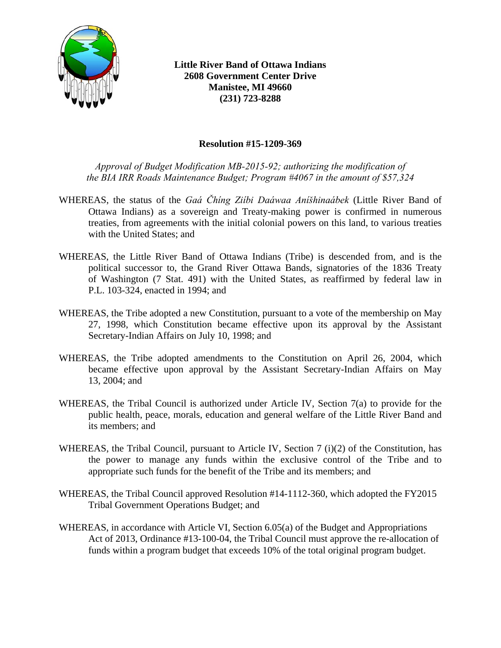

**Little River Band of Ottawa Indians 2608 Government Center Drive Manistee, MI 49660 (231) 723-8288** 

## **Resolution #15-1209-369**

*Approval of Budget Modification MB-2015-92; authorizing the modification of the BIA IRR Roads Maintenance Budget; Program #4067 in the amount of \$57,324* 

- WHEREAS, the status of the *Gaá Čhíng Ziíbi Daáwaa Aníšhinaábek* (Little River Band of Ottawa Indians) as a sovereign and Treaty-making power is confirmed in numerous treaties, from agreements with the initial colonial powers on this land, to various treaties with the United States; and
- WHEREAS, the Little River Band of Ottawa Indians (Tribe) is descended from, and is the political successor to, the Grand River Ottawa Bands, signatories of the 1836 Treaty of Washington (7 Stat. 491) with the United States, as reaffirmed by federal law in P.L. 103-324, enacted in 1994; and
- WHEREAS, the Tribe adopted a new Constitution, pursuant to a vote of the membership on May 27, 1998, which Constitution became effective upon its approval by the Assistant Secretary-Indian Affairs on July 10, 1998; and
- WHEREAS, the Tribe adopted amendments to the Constitution on April 26, 2004, which became effective upon approval by the Assistant Secretary-Indian Affairs on May 13, 2004; and
- WHEREAS, the Tribal Council is authorized under Article IV, Section 7(a) to provide for the public health, peace, morals, education and general welfare of the Little River Band and its members; and
- WHEREAS, the Tribal Council, pursuant to Article IV, Section 7 (i)(2) of the Constitution, has the power to manage any funds within the exclusive control of the Tribe and to appropriate such funds for the benefit of the Tribe and its members; and
- WHEREAS, the Tribal Council approved Resolution #14-1112-360, which adopted the FY2015 Tribal Government Operations Budget; and
- WHEREAS, in accordance with Article VI, Section 6.05(a) of the Budget and Appropriations Act of 2013, Ordinance #13-100-04, the Tribal Council must approve the re-allocation of funds within a program budget that exceeds 10% of the total original program budget.